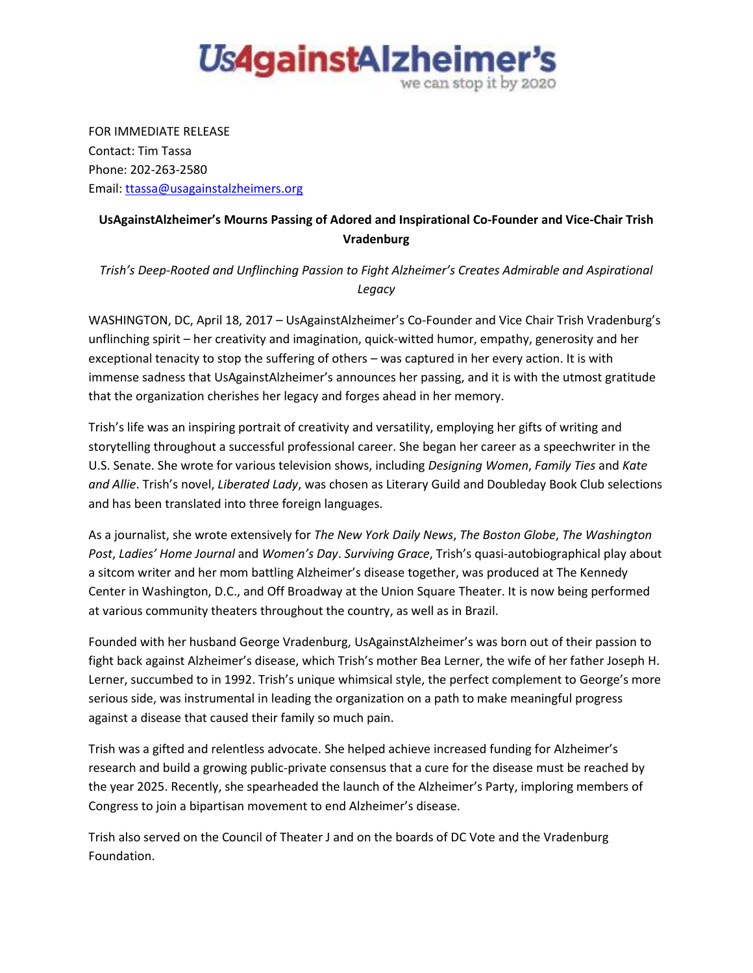

FOR IMMEDIATE RELEASE Contact: Tim Tassa Phone: 202-263-2580 Email: [ttassa@usagainstalzheimers.org](mailto:ttassa@usagainstalzheimers.org)

## **UsAgainstAlzheimer's Mourns Passing of Adored and Inspirational Co-Founder and Vice-Chair Trish Vradenburg**

*Trish's Deep-Rooted and Unflinching Passion to Fight Alzheimer's Creates Admirable and Aspirational Legacy* 

WASHINGTON, DC, April 18, 2017 – UsAgainstAlzheimer's Co-Founder and Vice Chair Trish Vradenburg's unflinching spirit – her creativity and imagination, quick-witted humor, empathy, generosity and her exceptional tenacity to stop the suffering of others – was captured in her every action. It is with immense sadness that UsAgainstAlzheimer's announces her passing, and it is with the utmost gratitude that the organization cherishes her legacy and forges ahead in her memory.

Trish's life was an inspiring portrait of creativity and versatility, employing her gifts of writing and storytelling throughout a successful professional career. She began her career as a speechwriter in the U.S. Senate. She wrote for various television shows, including *Designing Women*, *Family Ties* and *Kate and Allie*. Trish's novel, *Liberated Lady*, was chosen as Literary Guild and Doubleday Book Club selections and has been translated into three foreign languages.

As a journalist, she wrote extensively for *The New York Daily News*, *The Boston Globe*, *The Washington Post*, *Ladies' Home Journal* and *Women's Day*. *Surviving Grace*, Trish's quasi-autobiographical play about a sitcom writer and her mom battling Alzheimer's disease together, was produced at The Kennedy Center in Washington, D.C., and Off Broadway at the Union Square Theater. It is now being performed at various community theaters throughout the country, as well as in Brazil.

Founded with her husband George Vradenburg, UsAgainstAlzheimer's was born out of their passion to fight back against Alzheimer's disease, which Trish's mother Bea Lerner, the wife of her father Joseph H. Lerner, succumbed to in 1992. Trish's unique whimsical style, the perfect complement to George's more serious side, was instrumental in leading the organization on a path to make meaningful progress against a disease that caused their family so much pain.

Trish was a gifted and relentless advocate. She helped achieve increased funding for Alzheimer's research and build a growing public-private consensus that a cure for the disease must be reached by the year 2025. Recently, she spearheaded the launch of the Alzheimer's Party, imploring members of Congress to join a bipartisan movement to end Alzheimer's disease.

Trish also served on the Council of Theater J and on the boards of DC Vote and the Vradenburg Foundation.